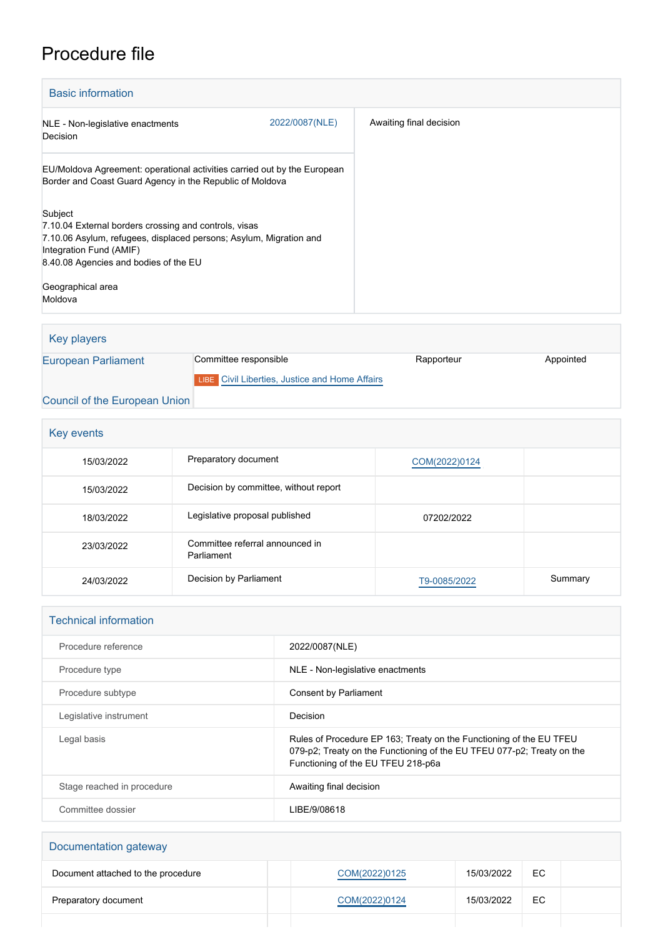## Procedure file

| <b>Basic information</b>                                                                                                                                                                                   |                |                         |
|------------------------------------------------------------------------------------------------------------------------------------------------------------------------------------------------------------|----------------|-------------------------|
| NLE - Non-legislative enactments<br>Decision                                                                                                                                                               | 2022/0087(NLE) | Awaiting final decision |
| EU/Moldova Agreement: operational activities carried out by the European<br>Border and Coast Guard Agency in the Republic of Moldova                                                                       |                |                         |
| Subject<br>7.10.04 External borders crossing and controls, visas<br>7.10.06 Asylum, refugees, displaced persons; Asylum, Migration and<br>Integration Fund (AMIF)<br>8.40.08 Agencies and bodies of the EU |                |                         |
| Geographical area<br>Moldova                                                                                                                                                                               |                |                         |

Key players [European Parliament](http://www.europarl.europa.eu/) Committee responsible Rapporteur Rapporteur Appointed **LIBE** [Civil Liberties, Justice and Home Affairs](http://www.europarl.europa.eu/committees/en/libe/home.html) [Council of the European Union](http://www.consilium.europa.eu)

| Key events |                                               |               |         |  |
|------------|-----------------------------------------------|---------------|---------|--|
| 15/03/2022 | Preparatory document                          | COM(2022)0124 |         |  |
| 15/03/2022 | Decision by committee, without report         |               |         |  |
| 18/03/2022 | Legislative proposal published                | 07202/2022    |         |  |
| 23/03/2022 | Committee referral announced in<br>Parliament |               |         |  |
| 24/03/2022 | Decision by Parliament                        | T9-0085/2022  | Summary |  |

| <b>Technical information</b> |                                                                                                                                                                                     |  |  |
|------------------------------|-------------------------------------------------------------------------------------------------------------------------------------------------------------------------------------|--|--|
| Procedure reference          | 2022/0087(NLE)                                                                                                                                                                      |  |  |
| Procedure type               | NLE - Non-legislative enactments                                                                                                                                                    |  |  |
| Procedure subtype            | Consent by Parliament                                                                                                                                                               |  |  |
| Legislative instrument       | Decision                                                                                                                                                                            |  |  |
| Legal basis                  | Rules of Procedure EP 163; Treaty on the Functioning of the EU TFEU<br>079-p2; Treaty on the Functioning of the EU TFEU 077-p2; Treaty on the<br>Functioning of the EU TFEU 218-p6a |  |  |
| Stage reached in procedure   | Awaiting final decision                                                                                                                                                             |  |  |
| Committee dossier            | LIBE/9/08618                                                                                                                                                                        |  |  |

| Documentation gateway              |  |               |            |     |  |
|------------------------------------|--|---------------|------------|-----|--|
| Document attached to the procedure |  | COM(2022)0125 | 15/03/2022 | EC. |  |
| Preparatory document               |  | COM(2022)0124 | 15/03/2022 | EC. |  |
|                                    |  |               |            |     |  |